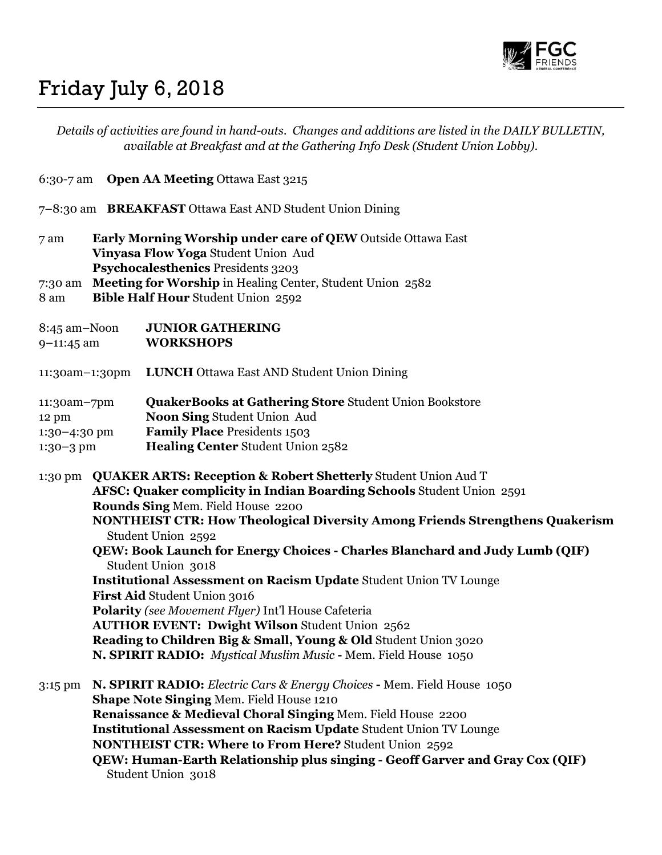

## Friday July 6, 2018

| Details of activities are found in hand-outs. Changes and additions are listed in the DAILY BULLETIN,<br>available at Breakfast and at the Gathering Info Desk (Student Union Lobby). |                                                                                                                                                                                                                                                                   |                                                                                                                                                                                                                                                                                                                                                                                                                                                                                                                                                                                                                                                                                                                                                                                  |
|---------------------------------------------------------------------------------------------------------------------------------------------------------------------------------------|-------------------------------------------------------------------------------------------------------------------------------------------------------------------------------------------------------------------------------------------------------------------|----------------------------------------------------------------------------------------------------------------------------------------------------------------------------------------------------------------------------------------------------------------------------------------------------------------------------------------------------------------------------------------------------------------------------------------------------------------------------------------------------------------------------------------------------------------------------------------------------------------------------------------------------------------------------------------------------------------------------------------------------------------------------------|
|                                                                                                                                                                                       |                                                                                                                                                                                                                                                                   | 6:30-7 am Open AA Meeting Ottawa East 3215                                                                                                                                                                                                                                                                                                                                                                                                                                                                                                                                                                                                                                                                                                                                       |
|                                                                                                                                                                                       |                                                                                                                                                                                                                                                                   | 7-8:30 am BREAKFAST Ottawa East AND Student Union Dining                                                                                                                                                                                                                                                                                                                                                                                                                                                                                                                                                                                                                                                                                                                         |
| 7 am<br>8 am                                                                                                                                                                          | <b>Early Morning Worship under care of QEW</b> Outside Ottawa East<br>Vinyasa Flow Yoga Student Union Aud<br>Psychocalesthenics Presidents 3203<br>7:30 am Meeting for Worship in Healing Center, Student Union 2582<br><b>Bible Half Hour Student Union 2592</b> |                                                                                                                                                                                                                                                                                                                                                                                                                                                                                                                                                                                                                                                                                                                                                                                  |
| 8:45 am-Noon<br>9-11:45 am                                                                                                                                                            |                                                                                                                                                                                                                                                                   | <b>JUNIOR GATHERING</b><br><b>WORKSHOPS</b>                                                                                                                                                                                                                                                                                                                                                                                                                                                                                                                                                                                                                                                                                                                                      |
| 11:30am-1:30pm                                                                                                                                                                        |                                                                                                                                                                                                                                                                   | <b>LUNCH</b> Ottawa East AND Student Union Dining                                                                                                                                                                                                                                                                                                                                                                                                                                                                                                                                                                                                                                                                                                                                |
| 11:30am-7pm<br>12 pm<br>1:30-4:30 pm<br>1:30-3 pm                                                                                                                                     |                                                                                                                                                                                                                                                                   | <b>QuakerBooks at Gathering Store Student Union Bookstore</b><br>Noon Sing Student Union Aud<br><b>Family Place Presidents 1503</b><br>Healing Center Student Union 2582                                                                                                                                                                                                                                                                                                                                                                                                                                                                                                                                                                                                         |
| 1:30 pm                                                                                                                                                                               |                                                                                                                                                                                                                                                                   | <b>QUAKER ARTS: Reception &amp; Robert Shetterly Student Union Aud T</b><br>AFSC: Quaker complicity in Indian Boarding Schools Student Union 2591<br>Rounds Sing Mem. Field House 2200<br><b>NONTHEIST CTR: How Theological Diversity Among Friends Strengthens Quakerism</b><br>Student Union 2592<br>QEW: Book Launch for Energy Choices - Charles Blanchard and Judy Lumb (QIF)<br>Student Union 3018<br><b>Institutional Assessment on Racism Update Student Union TV Lounge</b><br>First Aid Student Union 3016<br><b>Polarity</b> (see Movement Flyer) Int'l House Cafeteria<br><b>AUTHOR EVENT: Dwight Wilson Student Union 2562</b><br>Reading to Children Big & Small, Young & Old Student Union 3020<br>N. SPIRIT RADIO: Mystical Muslim Music - Mem. Field House 1050 |
| $3:15$ pm                                                                                                                                                                             |                                                                                                                                                                                                                                                                   | N. SPIRIT RADIO: Electric Cars & Energy Choices - Mem. Field House 1050<br>Shape Note Singing Mem. Field House 1210<br>Renaissance & Medieval Choral Singing Mem. Field House 2200<br><b>Institutional Assessment on Racism Update Student Union TV Lounge</b><br><b>NONTHEIST CTR: Where to From Here? Student Union 2592</b><br>QEW: Human-Earth Relationship plus singing - Geoff Garver and Gray Cox (QIF)<br>Student Union 3018                                                                                                                                                                                                                                                                                                                                             |